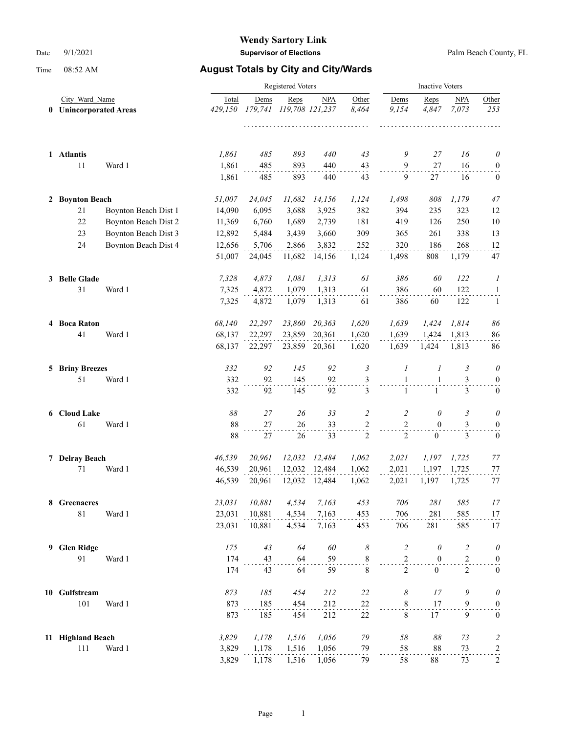|                |                        |                      |         | <b>Inactive Voters</b> |                 |               |                |                |                  |                         |                   |
|----------------|------------------------|----------------------|---------|------------------------|-----------------|---------------|----------------|----------------|------------------|-------------------------|-------------------|
| City Ward Name |                        |                      | Total   | Dems                   | Reps            | <b>NPA</b>    | Other          | Dems           | Reps             | NPA                     | Other             |
|                | 0 Unincorporated Areas |                      | 429.150 | 179,741                | 119,708 121,237 |               | 8,464          | 9.154          | 4,847            | 7.073                   | 253               |
|                | 1 Atlantis             |                      | 1,861   | 485                    | 893             | 440           | 43             | 9              | 27               | 16                      | $\theta$          |
|                | 11                     | Ward 1               | 1,861   | 485                    | 893             | 440           | 43             | 9              | 27               | 16                      | $\boldsymbol{0}$  |
|                |                        |                      | 1,861   | 485                    | 893             | 440           | 43             | 9              | 27               | 16                      | $\mathbf{0}$      |
|                | 2 Boynton Beach        |                      | 51,007  | 24,045                 | 11,682          | 14,156        | 1,124          | 1,498          | 808              | 1,179                   | 47                |
|                | 21                     | Boynton Beach Dist 1 | 14,090  | 6,095                  | 3,688           | 3,925         | 382            | 394            | 235              | 323                     | 12                |
|                | 22                     | Boynton Beach Dist 2 | 11,369  | 6,760                  | 1,689           | 2,739         | 181            | 419            | 126              | 250                     | $10\,$            |
|                | 23                     | Boynton Beach Dist 3 | 12,892  | 5,484                  | 3,439           | 3,660         | 309            | 365            | 261              | 338                     | 13                |
|                | 24                     | Boynton Beach Dist 4 | 12,656  | 5,706                  | 2,866           | 3,832         | 252            | 320            | 186              | 268                     | 12                |
|                |                        |                      | 51,007  | 24,045                 | 11,682          | 14,156        | 1,124          | 1,498          | 808              | 1,179                   | 47                |
|                | 3 Belle Glade          |                      | 7,328   | 4,873                  | 1,081           | 1,313         | 61             | 386            | 60               | 122                     | 1                 |
|                | 31                     | Ward 1               | 7,325   | 4,872                  | 1,079           | 1,313         | 61             | 386            | 60               | 122                     | $\mathbf{1}$      |
|                |                        |                      | 7,325   | 4,872                  | 1,079           | 1,313         | 61             | 386            | 60               | 122                     | 1                 |
|                | 4 Boca Raton           |                      | 68,140  | 22,297                 | 23,860          | 20,363        | 1,620          | 1,639          | 1,424            | 1,814                   | 86                |
|                | 41                     | Ward 1               | 68,137  | 22,297                 | 23,859          | 20,361        | 1,620          | 1,639          | 1,424            | 1,813                   | 86                |
|                |                        |                      | 68,137  | 22,297                 |                 | 23,859 20,361 | 1,620          | 1,639          | 1,424            | 1,813                   | 86                |
|                | <b>5 Briny Breezes</b> |                      | 332     | 92                     | 145             | 92            | $\mathfrak{Z}$ | 1              | 1                | 3                       | $\theta$          |
|                | 51                     | Ward 1               | 332     | 92                     | 145             | 92            | $\frac{3}{2}$  | $\mathbf{1}$   | $\mathbf{1}$     | 3                       | $\boldsymbol{0}$  |
|                |                        |                      | 332     | 92                     | 145             | 92            | 3              | $\mathbf{1}$   | $\mathbf{1}$     | 3                       | $\boldsymbol{0}$  |
|                | 6 Cloud Lake           |                      | 88      | 27                     | 26              | 33            | 2              | 2              | 0                | 3                       | $\theta$          |
|                | 61                     | Ward 1               | 88      | 27                     | 26              | 33            | 2              | $\overline{2}$ | $\overline{0}$   | 3                       | $\boldsymbol{0}$  |
|                |                        |                      | 88      | 27                     | 26              | 33            | $\overline{2}$ | $\overline{2}$ | $\boldsymbol{0}$ | 3                       | $\boldsymbol{0}$  |
|                | 7 Delray Beach         |                      | 46,539  | 20,961                 | 12,032          | 12,484        | 1,062          | 2,021          | 1,197            | 1,725                   | 77                |
|                | 71                     | Ward 1               | 46,539  | 20,961                 | 12,032          | 12,484        | 1,062          | 2,021          | 1,197            | 1,725                   | 77                |
|                |                        |                      | 46,539  | 20,961                 | 12,032          | 12,484        | 1,062          | 2,021          | 1,197            | 1,725                   | 77                |
|                | 8 Greenacres           |                      | 23,031  | 10,881                 | 4,534           | 7,163         | 453            | 706            | 281              | 585                     | 17                |
|                | $81\,$                 | Ward 1               | 23,031  | 10,881                 | 4,534           | 7,163         | 453            | 706            | 281              | 585                     | 17                |
|                |                        |                      | 23,031  | 10,881                 | 4,534           | 7,163         | 453            | 706            | 281              | 585                     | 17                |
| 9              | <b>Glen Ridge</b>      |                      | 175     | 43                     | 64              | 60            | 8              | $\overline{c}$ | $\theta$         | $\overline{\mathbf{c}}$ | $\theta$          |
|                | 91                     | Ward 1               | 174     | 43                     | 64              | 59            | $\frac{8}{1}$  | $\mathfrak{2}$ | $\boldsymbol{0}$ | $\mathfrak{2}$          | $\boldsymbol{0}$  |
|                |                        |                      | 174     | 43                     | 64              | 59            | $\,$ 8 $\,$    | $\overline{2}$ | $\boldsymbol{0}$ | $\overline{2}$          | $\mathbf{0}$      |
|                | 10 Gulfstream          |                      | 873     | 185                    | 454             | 212           | 22             | 8              | 17               | 9                       | $\theta$          |
|                | 101                    | Ward 1               | 873     | 185                    | 454             | 212           | 22             | $\,$ 8 $\,$    | 17               | 9                       | $\boldsymbol{0}$  |
|                |                        |                      | 873     | 185                    | 454             | 212           | 22             | $\,$ 8 $\,$    | 17               | 9                       | $\boldsymbol{0}$  |
|                | 11 Highland Beach      |                      | 3,829   | 1,178                  | 1,516           | 1,056         | 79             | $58\,$         | $\delta\delta$   | 73                      | $\overline{c}$    |
|                | 111                    | Ward 1               | 3,829   | 1,178                  | 1,516           | 1,056         | 79             | 58             | 88               | 73                      | $\frac{2}{\cdot}$ |
|                |                        |                      | 3,829   | 1,178                  | 1,516           | 1,056         | 79             | 58             | $88\,$           | 73                      | $\overline{c}$    |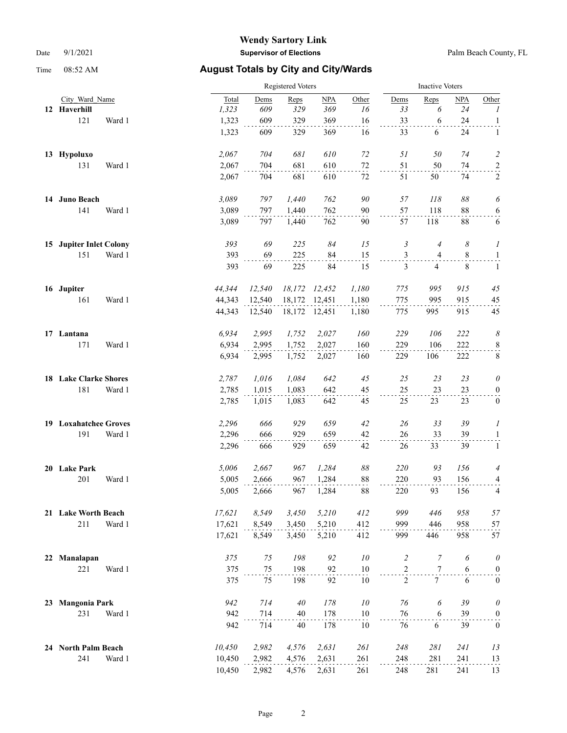|    |                              |        |        | Registered Voters |        |               |                |                |                  | <b>Inactive Voters</b> |                  |  |  |
|----|------------------------------|--------|--------|-------------------|--------|---------------|----------------|----------------|------------------|------------------------|------------------|--|--|
|    | City Ward Name               |        | Total  | Dems              | Reps   | NPA           | Other          | Dems           | Reps             | <b>NPA</b>             | Other            |  |  |
|    | 12 Haverhill                 |        | 1,323  | 609               | 329    | 369           | 16             | 33             | 6                | 24                     | $\boldsymbol{I}$ |  |  |
|    | 121                          | Ward 1 | 1,323  | 609               | 329    | 369           | 16             | 33             | 6                | 24                     | $\mathbf{1}$     |  |  |
|    |                              |        | 1,323  | 609               | 329    | 369           | 16             | 33             | 6                | 24                     | 1                |  |  |
|    | 13 Hypoluxo                  |        | 2,067  | 704               | 681    | 610           | 72             | 51             | 50               | 74                     | $\overline{c}$   |  |  |
|    | 131                          | Ward 1 | 2,067  | 704               | 681    | 610           | $72\,$         | 51             | 50               | 74                     | $\overline{a}$   |  |  |
|    |                              |        | 2,067  | 704               | 681    | 610           | 72             | 51             | 50               | 74                     | 2                |  |  |
|    | 14 Juno Beach                |        | 3,089  | 797               | 1,440  | 762           | 90             | 57             | 118              | $\delta\delta$         | 6                |  |  |
|    | 141                          | Ward 1 | 3,089  | 797               | 1,440  | 762           | 90             | 57             | 118              | 88                     | 6                |  |  |
|    |                              |        | 3,089  | 797               | 1,440  | 762           | 90             | 57             | 118              | 88                     | 6                |  |  |
|    | 15 Jupiter Inlet Colony      |        | 393    | 69                | 225    | 84            | 15             | 3              | $\overline{4}$   | 8                      | 1                |  |  |
|    | 151                          | Ward 1 | 393    | 69                | 225    | 84            | 15             | $\mathfrak{Z}$ | 4                | 8                      | $\overline{a}$   |  |  |
|    |                              |        | 393    | 69                | 225    | 84            | 15             | 3              | 4                | 8                      | $\mathbf{1}$     |  |  |
|    | 16 Jupiter                   |        | 44,344 | 12,540            | 18,172 | 12,452        | 1,180          | 775            | 995              | 915                    | 45               |  |  |
|    | 161                          | Ward 1 | 44,343 | 12,540            | 18,172 | 12,451        | 1,180          | 775            | 995              | 915                    | 45               |  |  |
|    |                              |        | 44,343 | 12,540            |        | 18,172 12,451 | 1,180          | 775            | 995              | 915                    | 45               |  |  |
|    | 17 Lantana                   |        | 6,934  | 2,995             | 1,752  | 2,027         | 160            | 229            | 106              | 222                    | 8                |  |  |
|    | 171                          | Ward 1 | 6,934  | 2,995             | 1,752  | 2,027         | 160            | 229            | 106              | 222                    | $\frac{8}{1}$    |  |  |
|    |                              |        | 6,934  | 2,995             | 1,752  | 2,027         | 160            | 229            | 106              | 222                    | $\,8\,$          |  |  |
|    | <b>18 Lake Clarke Shores</b> |        | 2,787  | 1,016             | 1,084  | 642           | 45             | 25             | 23               | 23                     | 0                |  |  |
|    | 181                          | Ward 1 | 2,785  | 1,015             | 1,083  | 642           | 45             | 25             | 23               | 23                     | $\boldsymbol{0}$ |  |  |
|    |                              |        | 2,785  | 1,015             | 1,083  | 642           | 45             | 25             | 23               | 23                     | $\boldsymbol{0}$ |  |  |
|    | 19 Loxahatchee Groves        |        | 2,296  | 666               | 929    | 659           | 42             | 26             | 33               | 39                     | 1                |  |  |
|    | 191                          | Ward 1 | 2,296  | 666               | 929    | 659           | 42             | 26             | 33               | 39                     | $\mathbf{1}$     |  |  |
|    |                              |        | 2,296  | 666               | 929    | 659           | 42             | 26             | 33               | 39                     | $\mathbf{1}$     |  |  |
|    | 20 Lake Park                 |        | 5,006  | 2,667             | 967    | 1,284         | $\delta\delta$ | 220            | 93               | 156                    | 4                |  |  |
|    | 201                          | Ward 1 | 5,005  | 2,666             | 967    | 1,284         | 88             | 220            | 93               | 156                    | 4                |  |  |
|    |                              |        | 5,005  | 2,666             | 967    | 1,284         | 88             | 220            | 93               | 156                    | 4                |  |  |
|    | 21 Lake Worth Beach          |        | 17,621 | 8,549             | 3,450  | 5,210         | 412            | 999            | 446              | 958                    | 57               |  |  |
|    | 211                          | Ward 1 | 17,621 | 8,549             | 3,450  | 5,210         | 412            | 999            | 446              | 958                    | 57               |  |  |
|    |                              |        | 17,621 | 8,549             | 3,450  | 5,210         | 412            | 999            | 446              | 958                    | 57               |  |  |
| 22 | Manalapan                    |        | 375    | $75\,$            | 198    | 92            | ${\it 10}$     | $\overline{c}$ | $\boldsymbol{7}$ | 6                      | $\theta$         |  |  |
|    | 221                          | Ward 1 | 375    | 75                | 198    | 92            | 10             | $\overline{c}$ | 7                | 6                      | $\boldsymbol{0}$ |  |  |
|    |                              |        | 375    | 75                | 198    | 92            | $10\,$         | $\overline{2}$ | $\tau$           | 6                      | $\boldsymbol{0}$ |  |  |
| 23 | <b>Mangonia Park</b>         |        | 942    | 714               | 40     | 178           | ${\it 10}$     | 76             | 6                | 39                     | $\theta$         |  |  |
|    | 231                          | Ward 1 | 942    | 714               | 40     | 178           | $10\,$         | 76             | $\sqrt{6}$       | 39                     | $\overline{0}$   |  |  |
|    |                              |        | 942    | 714               | 40     | 178           | 10             | 76             | 6                | 39                     | $\boldsymbol{0}$ |  |  |
|    | 24 North Palm Beach          |        | 10,450 | 2,982             | 4,576  | 2,631         | 261            | 248            | 281              | 241                    | 13               |  |  |
|    | 241                          | Ward 1 | 10,450 | 2,982             | 4,576  | 2,631         | 261            | 248            | 281              | 241                    | 13               |  |  |
|    |                              |        | 10,450 | 2,982             | 4,576  | 2,631         | 261            | 248            | 281              | 241                    | 13               |  |  |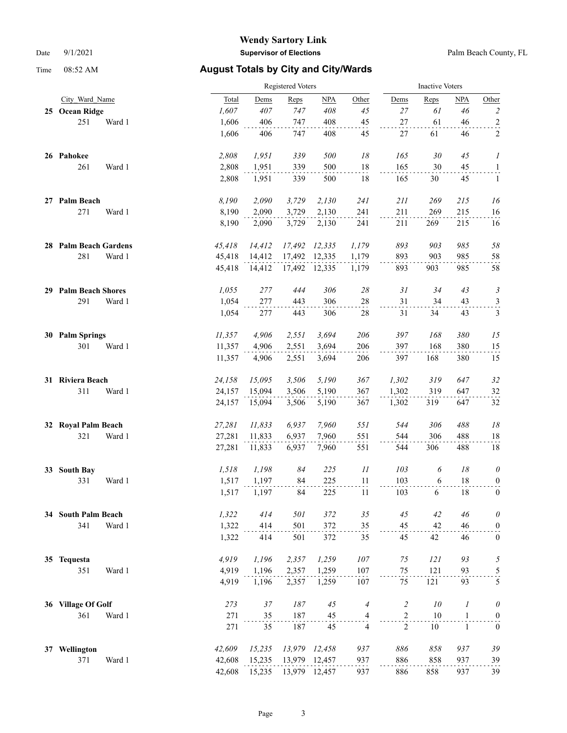|    |                         |        | <b>Inactive Voters</b> |        |               |                          |                |        |                  |                          |
|----|-------------------------|--------|------------------------|--------|---------------|--------------------------|----------------|--------|------------------|--------------------------|
|    | City Ward Name          | Total  | Dems                   | Reps   | NPA           | Other                    | Dems           | Reps   | <b>NPA</b>       | Other                    |
| 25 | <b>Ocean Ridge</b>      | 1,607  | 407                    | 747    | 408           | 45                       | 27             | 61     | 46               | $\overline{c}$           |
|    | 251<br>Ward 1           | 1,606  | 406                    | 747    | 408           | 45                       | $27\,$         | 61     | 46               | $\overline{a}$           |
|    |                         | 1,606  | 406                    | 747    | 408           | 45                       | 27             | 61     | 46               | 2                        |
|    | 26 Pahokee              | 2,808  | 1,951                  | 339    | 500           | $18\,$                   | 165            | 30     | 45               | 1                        |
|    | 261<br>Ward 1           | 2,808  | 1,951                  | 339    | 500           | 18                       | 165            | 30     | 45               | $\mathbf{1}$             |
|    |                         | 2,808  | 1,951                  | 339    | 500           | 18                       | 165            | 30     | 45               | $\mathbf{1}$             |
|    | 27 Palm Beach           | 8,190  | 2,090                  | 3,729  | 2,130         | 241                      | 211            | 269    | 215              | 16                       |
|    | 271<br>Ward 1           | 8,190  | 2,090                  | 3,729  | 2,130         | 241                      | 211            | 269    | 215              | 16                       |
|    |                         | 8,190  | 2,090                  | 3,729  | 2,130         | 241                      | 211            | 269    | 215              | 16                       |
|    | 28 Palm Beach Gardens   | 45,418 | 14,412                 | 17,492 | 12,335        | 1,179                    | 893            | 903    | 985              | 58                       |
|    | 281<br>Ward 1           | 45,418 | 14,412                 | 17,492 | 12,335        | 1,179                    | 893            | 903    | 985              | 58                       |
|    |                         | 45,418 | 14,412                 |        | 17,492 12,335 | 1,179                    | 893            | 903    | 985              | 58                       |
|    | 29 Palm Beach Shores    | 1,055  | 277                    | 444    | 306           | $28\,$                   | 31             | 34     | 43               | 3                        |
|    | 291<br>Ward 1           | 1,054  | 277                    | 443    | 306           | $28\,$                   | 31             | 34     | 43               | $\frac{3}{2}$            |
|    |                         | 1,054  | 277                    | 443    | 306           | 28                       | 31             | 34     | 43               | 3                        |
|    | 30 Palm Springs         | 11,357 | 4,906                  | 2,551  | 3,694         | 206                      | 397            | 168    | 380              | 15                       |
|    | 301<br>Ward 1           | 11,357 | 4,906                  | 2,551  | 3,694         | 206                      | 397            | 168    | 380              | 15                       |
|    |                         | 11,357 | 4,906                  | 2,551  | 3,694         | 206                      | 397            | 168    | 380              | 15                       |
|    | 31 Riviera Beach        | 24,158 | 15,095                 | 3,506  | 5,190         | 367                      | 1,302          | 319    | 647              | 32                       |
|    | 311<br>Ward 1           | 24,157 | 15,094                 | 3,506  | 5,190         | 367                      | 1,302          | 319    | 647              | 32                       |
|    |                         | 24,157 | 15,094                 | 3,506  | 5,190         | 367                      | 1,302          | 319    | 647              | 32                       |
| 32 | <b>Royal Palm Beach</b> | 27,281 | 11,833                 | 6,937  | 7,960         | 551                      | 544            | 306    | 488              | $18\,$                   |
|    | 321<br>Ward 1           | 27,281 | 11,833                 | 6,937  | 7,960         | 551                      | 544            | 306    | 488              | 18                       |
|    |                         | 27,281 | 11,833                 | 6,937  | 7,960         | 551                      | 544            | 306    | 488              | 18                       |
| 33 | <b>South Bay</b>        | 1,518  | 1,198                  | 84     | 225           | $\mathcal{I}\mathcal{I}$ | 103            | 6      | 18               | $\theta$                 |
|    | 331<br>Ward 1           | 1,517  | 1,197                  | 84     | 225           | 11                       | 103            | 6      | 18               | $\overline{0}$           |
|    |                         | 1,517  | 1,197                  | 84     | 225           | 11                       | 103            | 6      | 18               | $\boldsymbol{0}$         |
|    | 34 South Palm Beach     | 1,322  | 414                    | 501    | 372           | 35                       | 45             | 42     | 46               | $\theta$                 |
|    | 341<br>Ward 1           | 1,322  | 414                    | 501    | 372           | 35                       | 45             | 42     | 46               | $\boldsymbol{0}$         |
|    |                         | 1,322  | 414                    | 501    | 372           | 35                       | 45             | 42     | 46               | $\boldsymbol{0}$         |
|    | 35 Tequesta             | 4,919  | 1,196                  | 2,357  | 1,259         | 107                      | 75             | 121    | 93               | 5                        |
|    | 351<br>Ward 1           | 4,919  | 1,196                  | 2,357  | 1,259         | 107                      | 75             | 121    | 93               | $\overline{\mathcal{L}}$ |
|    |                         | 4,919  | 1,196                  | 2,357  | 1,259         | 107                      | 75             | 121    | 93               | 5                        |
|    | 36 Village Of Golf      | 273    | $37\,$                 | 187    | 45            | $\overline{4}$           | $\overline{c}$ | $10\,$ | $\boldsymbol{l}$ | $\theta$                 |
|    | 361<br>Ward 1           | 271    | 35                     | 187    | 45            | 4                        | $\frac{2}{1}$  | 10     | $\mathbf{1}$     | $\overline{0}$           |
|    |                         | 271    | 35                     | 187    | 45            | $\overline{4}$           | 2              | $10\,$ | $\mathbf{1}$     | $\boldsymbol{0}$         |
| 37 | Wellington              | 42,609 | 15,235                 | 13,979 | 12,458        | 937                      | 886            | 858    | 937              | 39                       |
|    | 371<br>Ward 1           | 42,608 | 15,235                 |        | 13,979 12,457 | 937                      | 886            | 858    | 937              | 39                       |
|    |                         | 42,608 | 15,235                 |        | 13,979 12,457 | 937                      | 886            | 858    | 937              | 39                       |